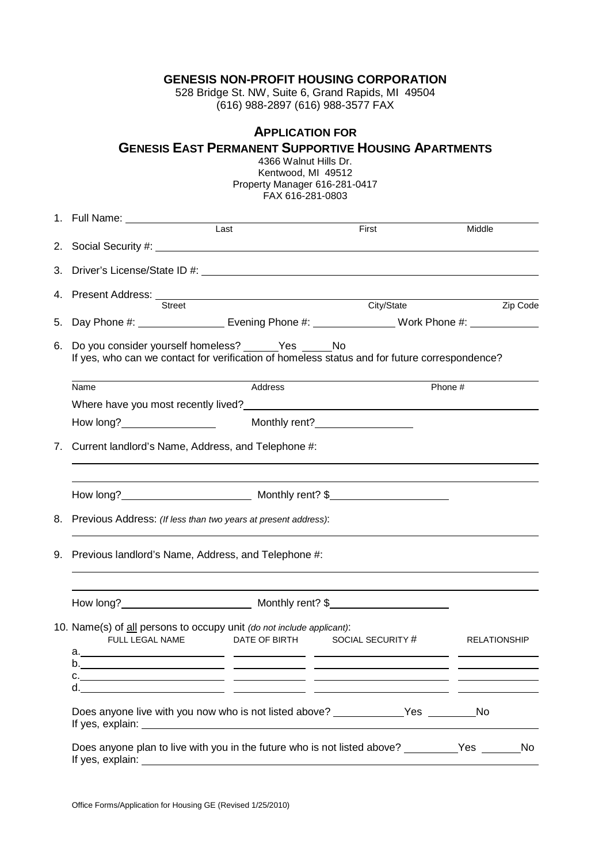#### **GENESIS NON-PROFIT HOUSING CORPORATION**

528 Bridge St. NW, Suite 6, Grand Rapids, MI 49504 (616) 988-2897 (616) 988-3577 FAX

## **APPLICATION FOR**

# **GENESIS EAST PERMANENT SUPPORTIVE HOUSING APARTMENTS**

|    |                                                                   | 4366 Walnut Hills Dr.<br>Kentwood, MI 49512<br>Property Manager 616-281-0417<br>FAX 616-281-0803                      |                                                                                                                                                                                                                               |          |
|----|-------------------------------------------------------------------|-----------------------------------------------------------------------------------------------------------------------|-------------------------------------------------------------------------------------------------------------------------------------------------------------------------------------------------------------------------------|----------|
|    |                                                                   | Last                                                                                                                  | First                                                                                                                                                                                                                         | Middle   |
|    |                                                                   |                                                                                                                       |                                                                                                                                                                                                                               |          |
|    |                                                                   |                                                                                                                       |                                                                                                                                                                                                                               |          |
|    | Street                                                            |                                                                                                                       | City/State                                                                                                                                                                                                                    | Zip Code |
|    |                                                                   | 5. Day Phone #: __________________________ Evening Phone #: ____________________ Work Phone #: ______________         |                                                                                                                                                                                                                               |          |
|    | Name                                                              | If yes, who can we contact for verification of homeless status and for future correspondence?<br>Address              |                                                                                                                                                                                                                               | Phone #  |
|    |                                                                   | Where have you most recently lived?<br><u> Where have you most recently lived?</u>                                    |                                                                                                                                                                                                                               |          |
|    |                                                                   |                                                                                                                       |                                                                                                                                                                                                                               |          |
| 7. | Current landlord's Name, Address, and Telephone #:                |                                                                                                                       | the control of the control of the control of the control of the control of the control of the control of the control of the control of the control of the control of the control of the control of the control of the control |          |
|    | 8. Previous Address: (If less than two years at present address): |                                                                                                                       |                                                                                                                                                                                                                               |          |
|    | 9. Previous landlord's Name, Address, and Telephone #:            |                                                                                                                       |                                                                                                                                                                                                                               |          |
|    |                                                                   | How long? <b>Monthly rent?</b> \$                                                                                     |                                                                                                                                                                                                                               |          |
|    | FULL LEGAL NAME                                                   | 10. Name(s) of all persons to occupy unit (do not include applicant):<br>DATE OF BIRTH SOCIAL SECURITY # RELATIONSHIP |                                                                                                                                                                                                                               |          |
|    |                                                                   |                                                                                                                       |                                                                                                                                                                                                                               |          |
|    |                                                                   |                                                                                                                       |                                                                                                                                                                                                                               |          |
|    |                                                                   | Does anyone live with you now who is not listed above? ______________Yes _________No                                  |                                                                                                                                                                                                                               |          |
|    |                                                                   | Does anyone plan to live with you in the future who is not listed above? _________Yes _______No                       |                                                                                                                                                                                                                               |          |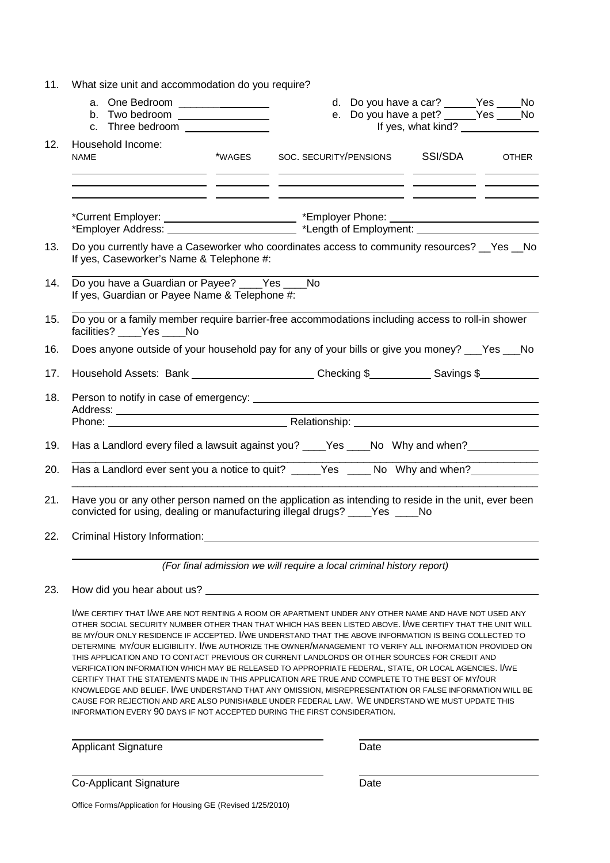| 11. | What size unit and accommodation do you require?                                                                                                                                                                                                                                                              |        |                                                                                      |  |                                                                                                                                                                                                                                                                                                                                                                                                                                                          |  |              |
|-----|---------------------------------------------------------------------------------------------------------------------------------------------------------------------------------------------------------------------------------------------------------------------------------------------------------------|--------|--------------------------------------------------------------------------------------|--|----------------------------------------------------------------------------------------------------------------------------------------------------------------------------------------------------------------------------------------------------------------------------------------------------------------------------------------------------------------------------------------------------------------------------------------------------------|--|--------------|
|     | a. One Bedroom __________________<br>b. Two bedroom <b>contains the set of the set of the set of the set of the set of the set of the set of the set of the set of the set of the set of the set of the set of the set of the set of the set of the set of the set of</b><br>c. Three bedroom _______________ |        |                                                                                      |  | d. Do you have a car? ______ Yes _____ No<br>e. Do you have a pet? $Y = Y$ es $\frac{1}{\sqrt{1 - \frac{1}{\sqrt{1 + \frac{1}{\sqrt{1 + \frac{1}{\sqrt{1 + \frac{1}{\sqrt{1 + \frac{1}{\sqrt{1 + \frac{1}{\sqrt{1 + \frac{1}{\sqrt{1 + \frac{1}{\sqrt{1 + \frac{1}{\sqrt{1 + \frac{1}{\sqrt{1 + \frac{1}{\sqrt{1 + \frac{1}{\sqrt{1 + \frac{1}{\sqrt{1 + \frac{1}{\sqrt{1 + \frac{1}{\sqrt{1 + \frac{1}{\sqrt{1 + \frac{1}{\sqrt{1 + \frac{1}{\sqrt{1 +$ |  |              |
| 12. | Household Income:<br><b>NAME</b><br>the contract of the contract of the contract of the contract of the contract of                                                                                                                                                                                           | *WAGES | SOC. SECURITY/PENSIONS<br><u> 1999 - Johann Stoff, amerikansk politiker (* 1908)</u> |  | SSI/SDA                                                                                                                                                                                                                                                                                                                                                                                                                                                  |  | <b>OTHER</b> |
|     |                                                                                                                                                                                                                                                                                                               |        |                                                                                      |  |                                                                                                                                                                                                                                                                                                                                                                                                                                                          |  |              |
| 13. | Do you currently have a Caseworker who coordinates access to community resources? __Yes __No<br>If yes, Caseworker's Name & Telephone #:                                                                                                                                                                      |        |                                                                                      |  |                                                                                                                                                                                                                                                                                                                                                                                                                                                          |  |              |
| 14. | Do you have a Guardian or Payee? ____Yes ____No<br>If yes, Guardian or Payee Name & Telephone #:                                                                                                                                                                                                              |        |                                                                                      |  |                                                                                                                                                                                                                                                                                                                                                                                                                                                          |  |              |
| 15. | Do you or a family member require barrier-free accommodations including access to roll-in shower<br>facilities? ____Yes ____No                                                                                                                                                                                |        |                                                                                      |  |                                                                                                                                                                                                                                                                                                                                                                                                                                                          |  |              |
| 16. | Does anyone outside of your household pay for any of your bills or give you money? ___Yes ___No                                                                                                                                                                                                               |        |                                                                                      |  |                                                                                                                                                                                                                                                                                                                                                                                                                                                          |  |              |
| 17. | Household Assets: Bank _______________________Checking \$____________Savings \$__________                                                                                                                                                                                                                     |        |                                                                                      |  |                                                                                                                                                                                                                                                                                                                                                                                                                                                          |  |              |
| 18. |                                                                                                                                                                                                                                                                                                               |        |                                                                                      |  |                                                                                                                                                                                                                                                                                                                                                                                                                                                          |  |              |
|     |                                                                                                                                                                                                                                                                                                               |        |                                                                                      |  |                                                                                                                                                                                                                                                                                                                                                                                                                                                          |  |              |
| 19. | Has a Landlord every filed a lawsuit against you? ____Yes ____No Why and when? ________                                                                                                                                                                                                                       |        |                                                                                      |  |                                                                                                                                                                                                                                                                                                                                                                                                                                                          |  |              |
| 20. | Has a Landlord ever sent you a notice to quit? _____Yes _____ No Why and when? ________                                                                                                                                                                                                                       |        |                                                                                      |  |                                                                                                                                                                                                                                                                                                                                                                                                                                                          |  |              |
| 21. | Have you or any other person named on the application as intending to reside in the unit, ever been<br>convicted for using, dealing or manufacturing illegal drugs? ____Yes ____No                                                                                                                            |        |                                                                                      |  |                                                                                                                                                                                                                                                                                                                                                                                                                                                          |  |              |
| 22. | Criminal History Information: Cambridge Communication of the Communication of the Communication of the Communication                                                                                                                                                                                          |        |                                                                                      |  |                                                                                                                                                                                                                                                                                                                                                                                                                                                          |  |              |

(For final admission we will require a local criminal history report)

#### 23. How did you hear about us?

I/WE CERTIFY THAT I/WE ARE NOT RENTING A ROOM OR APARTMENT UNDER ANY OTHER NAME AND HAVE NOT USED ANY OTHER SOCIAL SECURITY NUMBER OTHER THAN THAT WHICH HAS BEEN LISTED ABOVE. I/WE CERTIFY THAT THE UNIT WILL BE MY/OUR ONLY RESIDENCE IF ACCEPTED. I/WE UNDERSTAND THAT THE ABOVE INFORMATION IS BEING COLLECTED TO DETERMINE MY/OUR ELIGIBILITY. I/WE AUTHORIZE THE OWNER/MANAGEMENT TO VERIFY ALL INFORMATION PROVIDED ON THIS APPLICATION AND TO CONTACT PREVIOUS OR CURRENT LANDLORDS OR OTHER SOURCES FOR CREDIT AND VERIFICATION INFORMATION WHICH MAY BE RELEASED TO APPROPRIATE FEDERAL, STATE, OR LOCAL AGENCIES. I/WE CERTIFY THAT THE STATEMENTS MADE IN THIS APPLICATION ARE TRUE AND COMPLETE TO THE BEST OF MY/OUR KNOWLEDGE AND BELIEF. I/WE UNDERSTAND THAT ANY OMISSION, MISREPRESENTATION OR FALSE INFORMATION WILL BE CAUSE FOR REJECTION AND ARE ALSO PUNISHABLE UNDER FEDERAL LAW. WE UNDERSTAND WE MUST UPDATE THIS INFORMATION EVERY 90 DAYS IF NOT ACCEPTED DURING THE FIRST CONSIDERATION.

Applicant Signature Date

Co-Applicant Signature Date

Office Forms/Application for Housing GE (Revised 1/25/2010)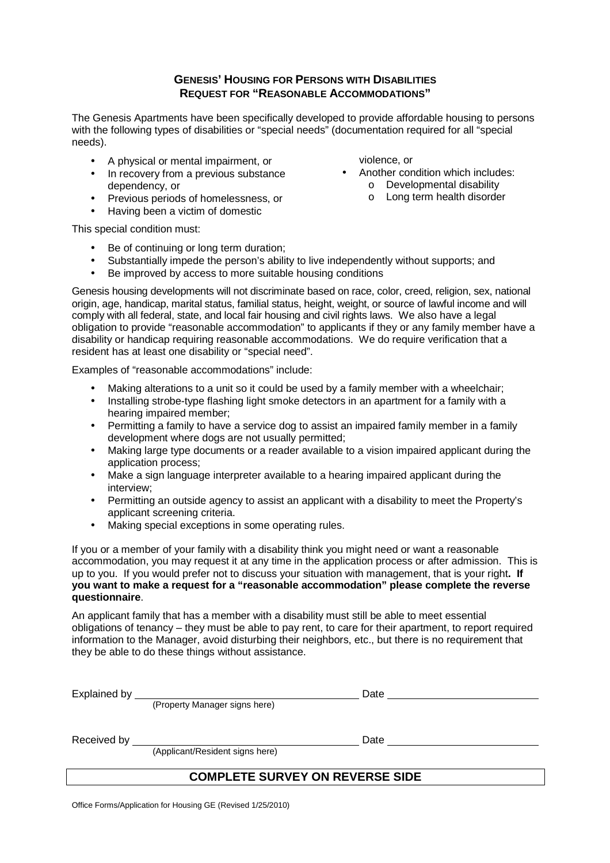### **GENESIS' HOUSING FOR PERSONS WITH DISABILITIES REQUEST FOR "REASONABLE ACCOMMODATIONS"**

The Genesis Apartments have been specifically developed to provide affordable housing to persons with the following types of disabilities or "special needs" (documentation required for all "special needs).

- A physical or mental impairment, or
- In recovery from a previous substance dependency, or
- Previous periods of homelessness, or
- Having been a victim of domestic

violence, or

- Another condition which includes:
	- o Developmental disability
	- o Long term health disorder

This special condition must:

- Be of continuing or long term duration:
- Substantially impede the person's ability to live independently without supports; and
- Be improved by access to more suitable housing conditions

Genesis housing developments will not discriminate based on race, color, creed, religion, sex, national origin, age, handicap, marital status, familial status, height, weight, or source of lawful income and will comply with all federal, state, and local fair housing and civil rights laws. We also have a legal obligation to provide "reasonable accommodation" to applicants if they or any family member have a disability or handicap requiring reasonable accommodations. We do require verification that a resident has at least one disability or "special need".

Examples of "reasonable accommodations" include:

- Making alterations to a unit so it could be used by a family member with a wheelchair;
- Installing strobe-type flashing light smoke detectors in an apartment for a family with a hearing impaired member;
- Permitting a family to have a service dog to assist an impaired family member in a family development where dogs are not usually permitted;
- Making large type documents or a reader available to a vision impaired applicant during the application process;
- Make a sign language interpreter available to a hearing impaired applicant during the interview;
- Permitting an outside agency to assist an applicant with a disability to meet the Property's applicant screening criteria.
- Making special exceptions in some operating rules.

If you or a member of your family with a disability think you might need or want a reasonable accommodation, you may request it at any time in the application process or after admission. This is up to you. If you would prefer not to discuss your situation with management, that is your right**. If you want to make a request for a "reasonable accommodation" please complete the reverse questionnaire**.

An applicant family that has a member with a disability must still be able to meet essential obligations of tenancy – they must be able to pay rent, to care for their apartment, to report required information to the Manager, avoid disturbing their neighbors, etc., but there is no requirement that they be able to do these things without assistance.

| Explained by |                                 | Date |  |
|--------------|---------------------------------|------|--|
|              | (Property Manager signs here)   |      |  |
| Received by  |                                 | Date |  |
|              | (Applicant/Resident signs here) |      |  |
|              | ------                          |      |  |

## **COMPLETE SURVEY ON REVERSE SIDE**

Office Forms/Application for Housing GE (Revised 1/25/2010)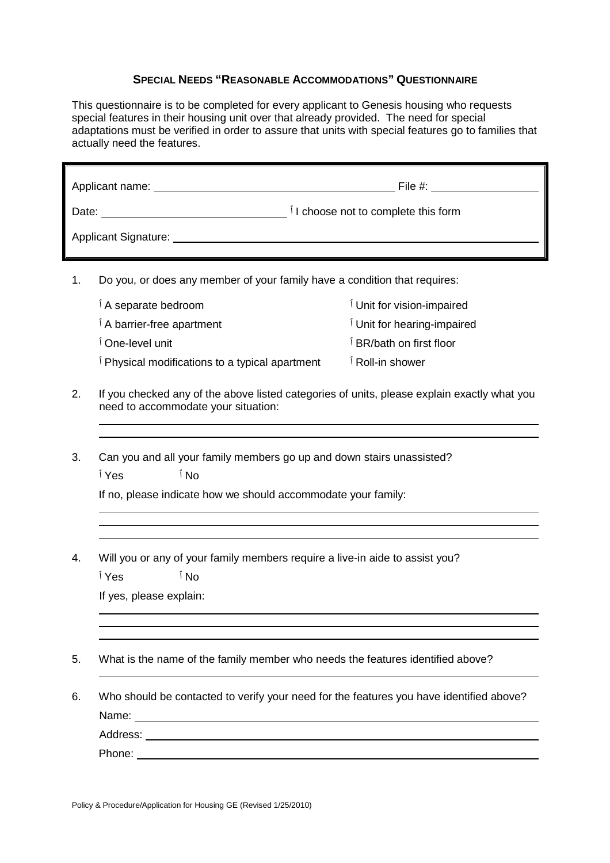### **SPECIAL NEEDS "REASONABLE ACCOMMODATIONS" QUESTIONNAIRE**

This questionnaire is to be completed for every applicant to Genesis housing who requests special features in their housing unit over that already provided. The need for special adaptations must be verified in order to assure that units with special features go to families that actually need the features.

|                        | Applicant name: _________                                                 | File #:                                         |  |
|------------------------|---------------------------------------------------------------------------|-------------------------------------------------|--|
| Date: <u>_________</u> |                                                                           | <sup>1</sup> I choose not to complete this form |  |
|                        |                                                                           |                                                 |  |
| 1.                     | Do you, or does any member of your family have a condition that requires: |                                                 |  |
|                        | A separate bedroom                                                        | Unit for vision-impaired                        |  |
|                        | A barrier-free apartment                                                  | Unit for hearing-impaired                       |  |
|                        | One-level unit                                                            | BR/bath on first floor                          |  |
|                        | Physical modifications to a typical apartment                             | Roll-in shower                                  |  |

- 2. If you checked any of the above listed categories of units, please explain exactly what you need to accommodate your situation:
- 3. Can you and all your family members go up and down stairs unassisted? No ٱ Yes ٱ

If no, please indicate how we should accommodate your family:

- 4. Will you or any of your family members require a live-in aide to assist you?
	- No ٱ Yes ٱ

If yes, please explain:

- 5. What is the name of the family member who needs the features identified above?
- 6. Who should be contacted to verify your need for the features you have identified above? Name: <u>2008 - 2008 - 2008 - 2008 - 2009 - 2009 - 2009 - 2009 - 2009 - 2009 - 2009 - 2009 - 2009 - 2009 - 2009 - 2009 - 2009 - 2009 - 2009 - 2009 - 2009 - 2009 - 2009 - 2009 - 2009 - 2009 - 2009 - 2009 - 2009 - 2009 - 2009 </u> Address:

Phone: The contract of the contract of the contract of the contract of the contract of the contract of the contract of the contract of the contract of the contract of the contract of the contract of the contract of the con